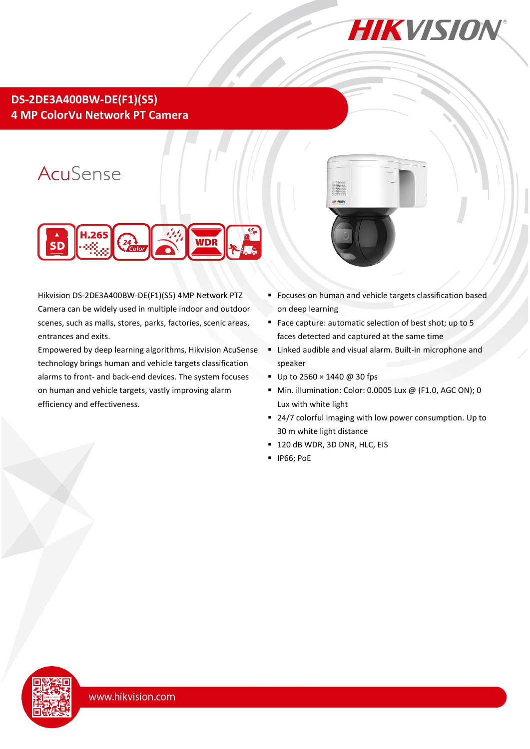

## **DS-2DE3A400BW-DE(F1)(S5) 4 MP ColorVu Network PT Camera**

# AcuSense



Hikvision DS-2DE3A400BW-DE(F1)(S5) 4MP Network PTZ Camera can be widely used in multiple indoor and outdoor scenes, such as malls, stores, parks, factories, scenic areas, entrances and exits.

Empowered by deep learning algorithms, Hikvision AcuSense technology brings human and vehicle targets classification alarms to front- and back-end devices. The system focuses on human and vehicle targets, vastly improving alarm efficiency and effectiveness.



- **Focuses on human and vehicle targets classification based** on deep learning
- Face capture: automatic selection of best shot; up to 5 faces detected and captured at the same time
- Linked audible and visual alarm. Built-in microphone and speaker
- Up to  $2560 \times 1440 \omega$  30 fps
- Min. illumination: Color: 0.0005 Lux @ (F1.0, AGC ON); 0 Lux with white light
- 24/7 colorful imaging with low power consumption. Up to 30 m white light distance
- <sup>1</sup> 120 dB WDR, 3D DNR, HLC, EIS
- **IP66; PoE**

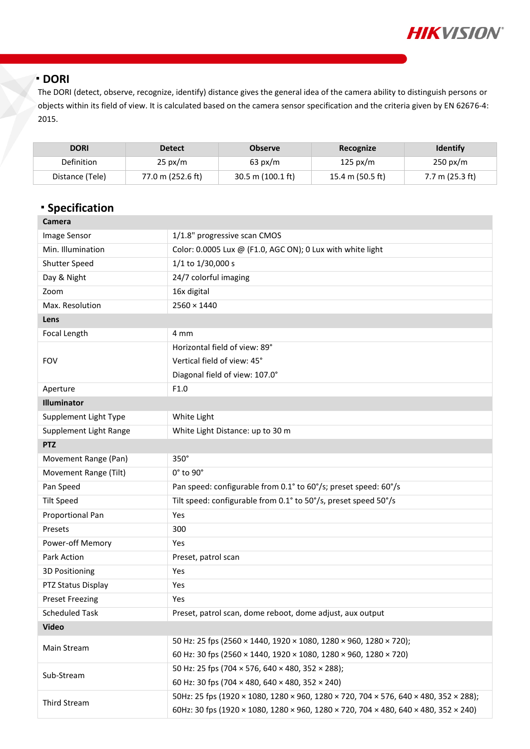

#### **DORI**

The DORI (detect, observe, recognize, identify) distance gives the general idea of the camera ability to distinguish persons or objects within its field of view. It is calculated based on the camera sensor specification and the criteria given by EN 62676-4: 2015.

| <b>DORI</b>     | <b>Detect</b>     | <b>Observe</b>              | Recognize          | <b>Identify</b>           |
|-----------------|-------------------|-----------------------------|--------------------|---------------------------|
| Definition      | $25 \text{ px/m}$ | $63 \text{ px/m}$           | $125 \text{ px/m}$ | $250 \text{ px/m}$        |
| Distance (Tele) | 77.0 m (252.6 ft) | 30.5 m $(100.1 \text{ ft})$ | 15.4 m (50.5 ft)   | $7.7 \text{ m}$ (25.3 ft) |

## **· Specification**

| Camera                 |                                                                                      |  |  |  |
|------------------------|--------------------------------------------------------------------------------------|--|--|--|
| Image Sensor           | 1/1.8" progressive scan CMOS                                                         |  |  |  |
| Min. Illumination      | Color: 0.0005 Lux @ (F1.0, AGC ON); 0 Lux with white light                           |  |  |  |
| <b>Shutter Speed</b>   | 1/1 to 1/30,000 s                                                                    |  |  |  |
| Day & Night            | 24/7 colorful imaging                                                                |  |  |  |
| Zoom                   | 16x digital                                                                          |  |  |  |
| Max. Resolution        | $2560 \times 1440$                                                                   |  |  |  |
| Lens                   |                                                                                      |  |  |  |
| Focal Length           | 4 mm                                                                                 |  |  |  |
|                        | Horizontal field of view: 89°                                                        |  |  |  |
| <b>FOV</b>             | Vertical field of view: 45°                                                          |  |  |  |
|                        | Diagonal field of view: 107.0°                                                       |  |  |  |
| Aperture               | F1.0                                                                                 |  |  |  |
| Illuminator            |                                                                                      |  |  |  |
| Supplement Light Type  | White Light                                                                          |  |  |  |
| Supplement Light Range | White Light Distance: up to 30 m                                                     |  |  |  |
| <b>PTZ</b>             |                                                                                      |  |  |  |
| Movement Range (Pan)   | $350^\circ$                                                                          |  |  |  |
|                        |                                                                                      |  |  |  |
| Movement Range (Tilt)  | 0° to 90°                                                                            |  |  |  |
| Pan Speed              | Pan speed: configurable from 0.1° to 60°/s; preset speed: 60°/s                      |  |  |  |
| <b>Tilt Speed</b>      | Tilt speed: configurable from 0.1° to 50°/s, preset speed 50°/s                      |  |  |  |
| Proportional Pan       | Yes                                                                                  |  |  |  |
| Presets                | 300                                                                                  |  |  |  |
| Power-off Memory       | Yes                                                                                  |  |  |  |
| Park Action            | Preset, patrol scan                                                                  |  |  |  |
| 3D Positioning         | Yes                                                                                  |  |  |  |
| PTZ Status Display     | Yes                                                                                  |  |  |  |
| <b>Preset Freezing</b> | Yes                                                                                  |  |  |  |
| <b>Scheduled Task</b>  | Preset, patrol scan, dome reboot, dome adjust, aux output                            |  |  |  |
| <b>Video</b>           |                                                                                      |  |  |  |
|                        | 50 Hz: 25 fps (2560 × 1440, 1920 × 1080, 1280 × 960, 1280 × 720);                    |  |  |  |
| Main Stream            | 60 Hz: 30 fps (2560 × 1440, 1920 × 1080, 1280 × 960, 1280 × 720)                     |  |  |  |
|                        | 50 Hz: 25 fps (704 × 576, 640 × 480, 352 × 288);                                     |  |  |  |
| Sub-Stream             | 60 Hz: 30 fps (704 × 480, 640 × 480, 352 × 240)                                      |  |  |  |
| Third Stream           | 50Hz: 25 fps (1920 × 1080, 1280 × 960, 1280 × 720, 704 × 576, 640 × 480, 352 × 288); |  |  |  |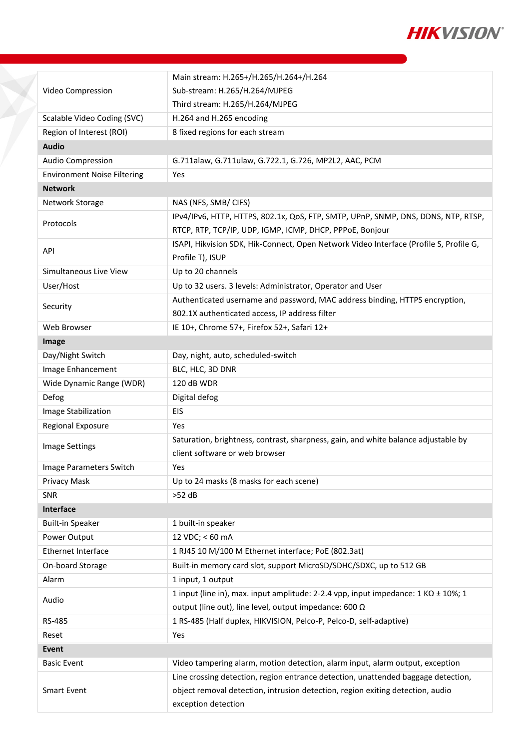

|                                    | Main stream: H.265+/H.265/H.264+/H.264                                                                                                                                                     |  |  |
|------------------------------------|--------------------------------------------------------------------------------------------------------------------------------------------------------------------------------------------|--|--|
| Video Compression                  | Sub-stream: H.265/H.264/MJPEG                                                                                                                                                              |  |  |
|                                    | Third stream: H.265/H.264/MJPEG                                                                                                                                                            |  |  |
| Scalable Video Coding (SVC)        | H.264 and H.265 encoding                                                                                                                                                                   |  |  |
| Region of Interest (ROI)           | 8 fixed regions for each stream                                                                                                                                                            |  |  |
| <b>Audio</b>                       |                                                                                                                                                                                            |  |  |
| Audio Compression                  | G.711alaw, G.711ulaw, G.722.1, G.726, MP2L2, AAC, PCM                                                                                                                                      |  |  |
| <b>Environment Noise Filtering</b> | Yes                                                                                                                                                                                        |  |  |
| <b>Network</b>                     |                                                                                                                                                                                            |  |  |
| Network Storage                    | NAS (NFS, SMB/ CIFS)                                                                                                                                                                       |  |  |
| Protocols                          | IPv4/IPv6, HTTP, HTTPS, 802.1x, QoS, FTP, SMTP, UPnP, SNMP, DNS, DDNS, NTP, RTSP,<br>RTCP, RTP, TCP/IP, UDP, IGMP, ICMP, DHCP, PPPoE, Bonjour                                              |  |  |
|                                    | ISAPI, Hikvision SDK, Hik-Connect, Open Network Video Interface (Profile S, Profile G,                                                                                                     |  |  |
| API                                | Profile T), ISUP                                                                                                                                                                           |  |  |
| Simultaneous Live View             | Up to 20 channels                                                                                                                                                                          |  |  |
| User/Host                          | Up to 32 users. 3 levels: Administrator, Operator and User                                                                                                                                 |  |  |
| Security                           | Authenticated username and password, MAC address binding, HTTPS encryption,                                                                                                                |  |  |
|                                    | 802.1X authenticated access, IP address filter                                                                                                                                             |  |  |
| Web Browser                        | IE 10+, Chrome 57+, Firefox 52+, Safari 12+                                                                                                                                                |  |  |
| Image                              |                                                                                                                                                                                            |  |  |
| Day/Night Switch                   | Day, night, auto, scheduled-switch                                                                                                                                                         |  |  |
| Image Enhancement                  | BLC, HLC, 3D DNR                                                                                                                                                                           |  |  |
| Wide Dynamic Range (WDR)           | 120 dB WDR                                                                                                                                                                                 |  |  |
| Defog                              | Digital defog                                                                                                                                                                              |  |  |
| Image Stabilization                | EIS                                                                                                                                                                                        |  |  |
| Regional Exposure                  | Yes                                                                                                                                                                                        |  |  |
| Image Settings                     | Saturation, brightness, contrast, sharpness, gain, and white balance adjustable by<br>client software or web browser                                                                       |  |  |
|                                    |                                                                                                                                                                                            |  |  |
| Image Parameters Switch            | Yes                                                                                                                                                                                        |  |  |
| Privacy Mask                       | Up to 24 masks (8 masks for each scene)                                                                                                                                                    |  |  |
| SNR                                | $>52$ dB                                                                                                                                                                                   |  |  |
| Interface                          |                                                                                                                                                                                            |  |  |
| <b>Built-in Speaker</b>            | 1 built-in speaker                                                                                                                                                                         |  |  |
| Power Output                       | 12 VDC; < 60 mA                                                                                                                                                                            |  |  |
| Ethernet Interface                 | 1 RJ45 10 M/100 M Ethernet interface; PoE (802.3at)                                                                                                                                        |  |  |
| On-board Storage                   | Built-in memory card slot, support MicroSD/SDHC/SDXC, up to 512 GB                                                                                                                         |  |  |
| Alarm                              | 1 input, 1 output                                                                                                                                                                          |  |  |
| Audio                              | 1 input (line in), max. input amplitude: 2-2.4 vpp, input impedance: $1$ K $\Omega$ ± 10%; 1<br>output (line out), line level, output impedance: 600 Ω                                     |  |  |
| RS-485                             | 1 RS-485 (Half duplex, HIKVISION, Pelco-P, Pelco-D, self-adaptive)                                                                                                                         |  |  |
| Reset                              | Yes                                                                                                                                                                                        |  |  |
| Event                              |                                                                                                                                                                                            |  |  |
| <b>Basic Event</b>                 | Video tampering alarm, motion detection, alarm input, alarm output, exception                                                                                                              |  |  |
| <b>Smart Event</b>                 | Line crossing detection, region entrance detection, unattended baggage detection,<br>object removal detection, intrusion detection, region exiting detection, audio<br>exception detection |  |  |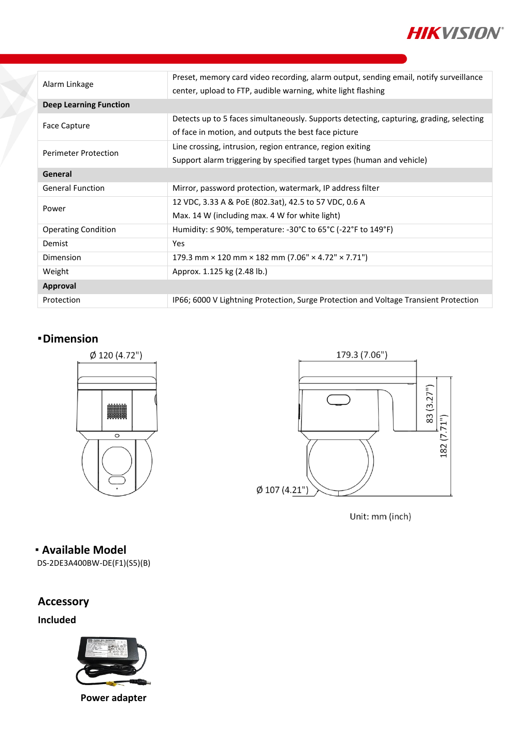

| Alarm Linkage                 | Preset, memory card video recording, alarm output, sending email, notify surveillance   |  |  |
|-------------------------------|-----------------------------------------------------------------------------------------|--|--|
|                               | center, upload to FTP, audible warning, white light flashing                            |  |  |
| <b>Deep Learning Function</b> |                                                                                         |  |  |
| Face Capture                  | Detects up to 5 faces simultaneously. Supports detecting, capturing, grading, selecting |  |  |
|                               | of face in motion, and outputs the best face picture                                    |  |  |
| <b>Perimeter Protection</b>   | Line crossing, intrusion, region entrance, region exiting                               |  |  |
|                               | Support alarm triggering by specified target types (human and vehicle)                  |  |  |
| General                       |                                                                                         |  |  |
| <b>General Function</b>       | Mirror, password protection, watermark, IP address filter                               |  |  |
| Power                         | 12 VDC, 3.33 A & PoE (802.3at), 42.5 to 57 VDC, 0.6 A                                   |  |  |
|                               | Max. 14 W (including max. 4 W for white light)                                          |  |  |
| <b>Operating Condition</b>    | Humidity: ≤ 90%, temperature: -30°C to 65°C (-22°F to 149°F)                            |  |  |
| Demist                        | <b>Yes</b>                                                                              |  |  |
| Dimension                     | 179.3 mm $\times$ 120 mm $\times$ 182 mm (7.06" $\times$ 4.72" $\times$ 7.71")          |  |  |
| Weight                        | Approx. 1.125 kg (2.48 lb.)                                                             |  |  |
| Approval                      |                                                                                         |  |  |
| Protection                    | IP66; 6000 V Lightning Protection, Surge Protection and Voltage Transient Protection    |  |  |

#### **Dimension**





Unit: mm (inch)

**Available Model**

DS-2DE3A400BW-DE(F1)(S5)(B)

## **Accessory**

**Included**



**Power adapter**